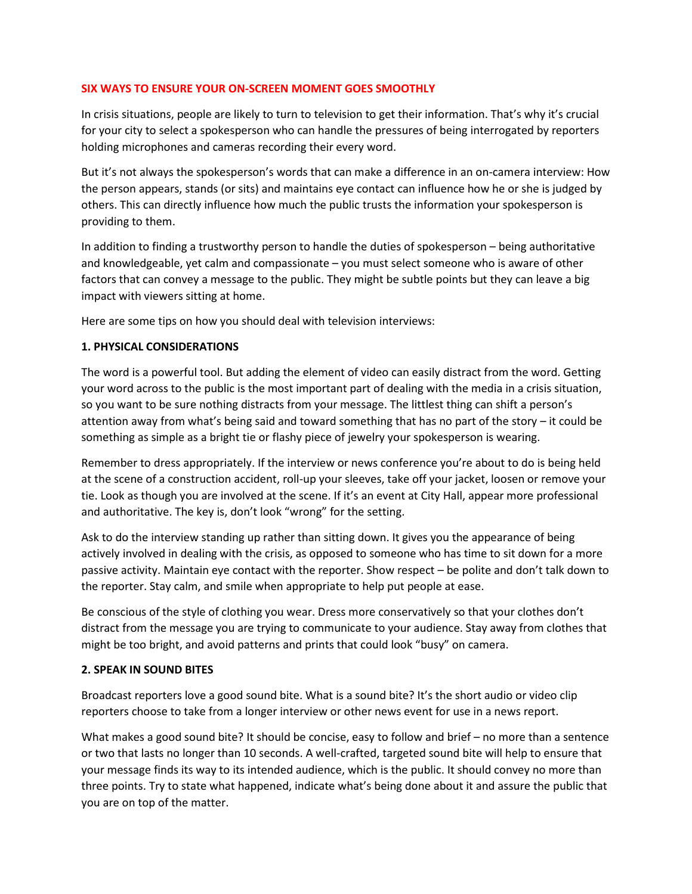#### **SIX WAYS TO ENSURE YOUR ON-SCREEN MOMENT GOES SMOOTHLY**

In crisis situations, people are likely to turn to television to get their information. That's why it's crucial for your city to select a spokesperson who can handle the pressures of being interrogated by reporters holding microphones and cameras recording their every word.

But it's not always the spokesperson's words that can make a difference in an on-camera interview: How the person appears, stands (or sits) and maintains eye contact can influence how he or she is judged by others. This can directly influence how much the public trusts the information your spokesperson is providing to them.

In addition to finding a trustworthy person to handle the duties of spokesperson – being authoritative and knowledgeable, yet calm and compassionate – you must select someone who is aware of other factors that can convey a message to the public. They might be subtle points but they can leave a big impact with viewers sitting at home.

Here are some tips on how you should deal with television interviews:

# **1. PHYSICAL CONSIDERATIONS**

The word is a powerful tool. But adding the element of video can easily distract from the word. Getting your word across to the public is the most important part of dealing with the media in a crisis situation, so you want to be sure nothing distracts from your message. The littlest thing can shift a person's attention away from what's being said and toward something that has no part of the story – it could be something as simple as a bright tie or flashy piece of jewelry your spokesperson is wearing.

Remember to dress appropriately. If the interview or news conference you're about to do is being held at the scene of a construction accident, roll-up your sleeves, take off your jacket, loosen or remove your tie. Look as though you are involved at the scene. If it's an event at City Hall, appear more professional and authoritative. The key is, don't look "wrong" for the setting.

Ask to do the interview standing up rather than sitting down. It gives you the appearance of being actively involved in dealing with the crisis, as opposed to someone who has time to sit down for a more passive activity. Maintain eye contact with the reporter. Show respect – be polite and don't talk down to the reporter. Stay calm, and smile when appropriate to help put people at ease.

Be conscious of the style of clothing you wear. Dress more conservatively so that your clothes don't distract from the message you are trying to communicate to your audience. Stay away from clothes that might be too bright, and avoid patterns and prints that could look "busy" on camera.

#### **2. SPEAK IN SOUND BITES**

Broadcast reporters love a good sound bite. What is a sound bite? It's the short audio or video clip reporters choose to take from a longer interview or other news event for use in a news report.

What makes a good sound bite? It should be concise, easy to follow and brief – no more than a sentence or two that lasts no longer than 10 seconds. A well-crafted, targeted sound bite will help to ensure that your message finds its way to its intended audience, which is the public. It should convey no more than three points. Try to state what happened, indicate what's being done about it and assure the public that you are on top of the matter.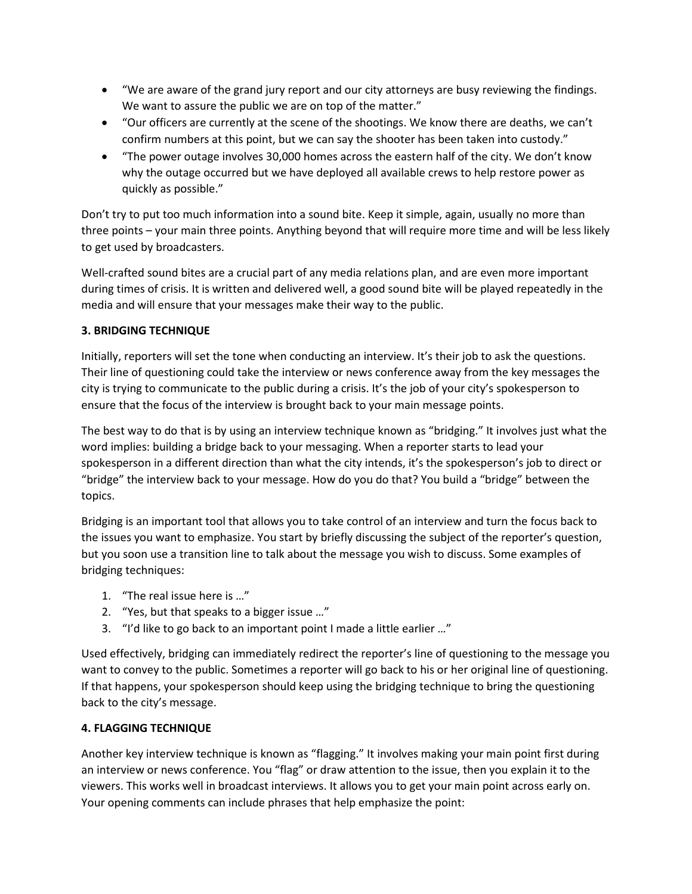- "We are aware of the grand jury report and our city attorneys are busy reviewing the findings. We want to assure the public we are on top of the matter."
- "Our officers are currently at the scene of the shootings. We know there are deaths, we can't confirm numbers at this point, but we can say the shooter has been taken into custody."
- "The power outage involves 30,000 homes across the eastern half of the city. We don't know why the outage occurred but we have deployed all available crews to help restore power as quickly as possible."

Don't try to put too much information into a sound bite. Keep it simple, again, usually no more than three points – your main three points. Anything beyond that will require more time and will be less likely to get used by broadcasters.

Well-crafted sound bites are a crucial part of any media relations plan, and are even more important during times of crisis. It is written and delivered well, a good sound bite will be played repeatedly in the media and will ensure that your messages make their way to the public.

# **3. BRIDGING TECHNIQUE**

Initially, reporters will set the tone when conducting an interview. It's their job to ask the questions. Their line of questioning could take the interview or news conference away from the key messages the city is trying to communicate to the public during a crisis. It's the job of your city's spokesperson to ensure that the focus of the interview is brought back to your main message points.

The best way to do that is by using an interview technique known as "bridging." It involves just what the word implies: building a bridge back to your messaging. When a reporter starts to lead your spokesperson in a different direction than what the city intends, it's the spokesperson's job to direct or "bridge" the interview back to your message. How do you do that? You build a "bridge" between the topics.

Bridging is an important tool that allows you to take control of an interview and turn the focus back to the issues you want to emphasize. You start by briefly discussing the subject of the reporter's question, but you soon use a transition line to talk about the message you wish to discuss. Some examples of bridging techniques:

- 1. "The real issue here is …"
- 2. "Yes, but that speaks to a bigger issue …"
- 3. "I'd like to go back to an important point I made a little earlier …"

Used effectively, bridging can immediately redirect the reporter's line of questioning to the message you want to convey to the public. Sometimes a reporter will go back to his or her original line of questioning. If that happens, your spokesperson should keep using the bridging technique to bring the questioning back to the city's message.

# **4. FLAGGING TECHNIQUE**

Another key interview technique is known as "flagging." It involves making your main point first during an interview or news conference. You "flag" or draw attention to the issue, then you explain it to the viewers. This works well in broadcast interviews. It allows you to get your main point across early on. Your opening comments can include phrases that help emphasize the point: